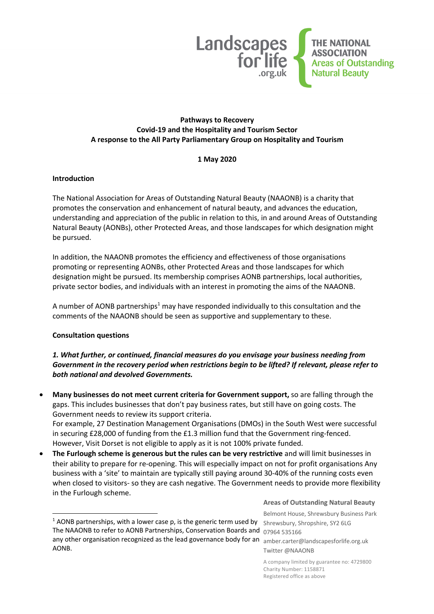

#### **Pathways to Recovery Covid-19 and the Hospitality and Tourism Sector A response to the All Party Parliamentary Group on Hospitality and Tourism**

#### **1 May 2020**

#### **Introduction**

The National Association for Areas of Outstanding Natural Beauty (NAAONB) is a charity that promotes the conservation and enhancement of natural beauty, and advances the education, understanding and appreciation of the public in relation to this, in and around Areas of Outstanding Natural Beauty (AONBs), other Protected Areas, and those landscapes for which designation might be pursued.

In addition, the NAAONB promotes the efficiency and effectiveness of those organisations promoting or representing AONBs, other Protected Areas and those landscapes for which designation might be pursued. Its membership comprises AONB partnerships, local authorities, private sector bodies, and individuals with an interest in promoting the aims of the NAAONB.

A number of AONB partnerships<sup>1</sup> may have responded individually to this consultation and the comments of the NAAONB should be seen as supportive and supplementary to these.

#### **Consultation questions**

### *1. What further, or continued, financial measures do you envisage your business needing from Government in the recovery period when restrictions begin to be lifted? If relevant, please refer to both national and devolved Governments.*

• **Many businesses do not meet current criteria for Government support,** so are falling through the gaps. This includes businesses that don't pay business rates, but still have on going costs. The Government needs to review its support criteria.

For example, 27 Destination Management Organisations (DMOs) in the South West were successful in securing £28,000 of funding from the £1.3 million fund that the Government ring-fenced. However, Visit Dorset is not eligible to apply as it is not 100% private funded.

• **The Furlough scheme is generous but the rules can be very restrictive** and will limit businesses in their ability to prepare for re-opening. This will especially impact on not for profit organisations Any business with a 'site' to maintain are typically still paying around 30-40% of the running costs even when closed to visitors- so they are cash negative. The Government needs to provide more flexibility in the Furlough scheme.

#### **Areas of Outstanding Natural Beauty**

Belmont House, Shrewsbury Business Park

Twitter @NAAONB

A company limited by guarantee no: 4729800 Charity Number: 1158871 Registered office as above

<sup>&</sup>lt;sup>1</sup> AONB partnerships, with a lower case p, is the generic term used by shrewsbury, Shropshire, SY2 6LG The NAAONB to refer to AONB Partnerships, Conservation Boards and  $\frac{07964}{535166}$ any other organisation recognized as the lead governance body for an eamber.carter@landscapesforlife.org.uk AONB.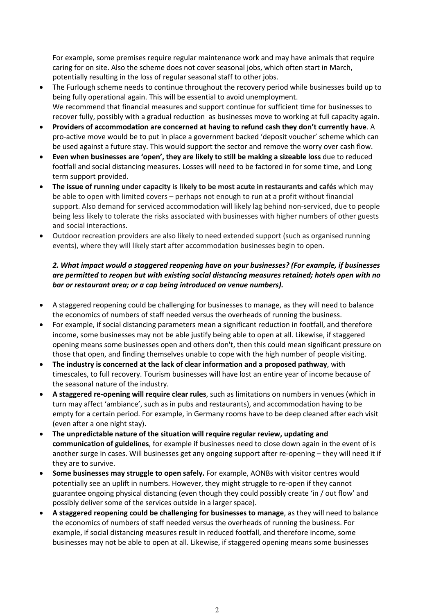For example, some premises require regular maintenance work and may have animals that require caring for on site. Also the scheme does not cover seasonal jobs, which often start in March, potentially resulting in the loss of regular seasonal staff to other jobs.

- The Furlough scheme needs to continue throughout the recovery period while businesses build up to being fully operational again. This will be essential to avoid unemployment. We recommend that financial measures and support continue for sufficient time for businesses to recover fully, possibly with a gradual reduction as businesses move to working at full capacity again.
- **Providers of accommodation are concerned at having to refund cash they don't currently have**. A pro-active move would be to put in place a government backed 'deposit voucher' scheme which can be used against a future stay. This would support the sector and remove the worry over cash flow.
- **Even when businesses are 'open', they are likely to still be making a sizeable loss** due to reduced footfall and social distancing measures. Losses will need to be factored in for some time, and Long term support provided.
- **The issue of running under capacity is likely to be most acute in restaurants and cafés** which may be able to open with limited covers – perhaps not enough to run at a profit without financial support. Also demand for serviced accommodation will likely lag behind non-serviced, due to people being less likely to tolerate the risks associated with businesses with higher numbers of other guests and social interactions.
- Outdoor recreation providers are also likely to need extended support (such as organised running events), where they will likely start after accommodation businesses begin to open.

## *2. What impact would a staggered reopening have on your businesses? (For example, if businesses are permitted to reopen but with existing social distancing measures retained; hotels open with no bar or restaurant area; or a cap being introduced on venue numbers).*

- A staggered reopening could be challenging for businesses to manage, as they will need to balance the economics of numbers of staff needed versus the overheads of running the business.
- For example, if social distancing parameters mean a significant reduction in footfall, and therefore income, some businesses may not be able justify being able to open at all. Likewise, if staggered opening means some businesses open and others don't, then this could mean significant pressure on those that open, and finding themselves unable to cope with the high number of people visiting.
- **The industry is concerned at the lack of clear information and a proposed pathway**, with timescales, to full recovery. Tourism businesses will have lost an entire year of income because of the seasonal nature of the industry.
- **A staggered re-opening will require clear rules**, such as limitations on numbers in venues (which in turn may affect 'ambiance', such as in pubs and restaurants), and accommodation having to be empty for a certain period. For example, in Germany rooms have to be deep cleaned after each visit (even after a one night stay).
- **The unpredictable nature of the situation will require regular review, updating and communication of guidelines**, for example if businesses need to close down again in the event of is another surge in cases. Will businesses get any ongoing support after re-opening – they will need it if they are to survive.
- **Some businesses may struggle to open safely.** For example, AONBs with visitor centres would potentially see an uplift in numbers. However, they might struggle to re-open if they cannot guarantee ongoing physical distancing (even though they could possibly create 'in / out flow' and possibly deliver some of the services outside in a larger space).
- **A staggered reopening could be challenging for businesses to manage**, as they will need to balance the economics of numbers of staff needed versus the overheads of running the business. For example, if social distancing measures result in reduced footfall, and therefore income, some businesses may not be able to open at all. Likewise, if staggered opening means some businesses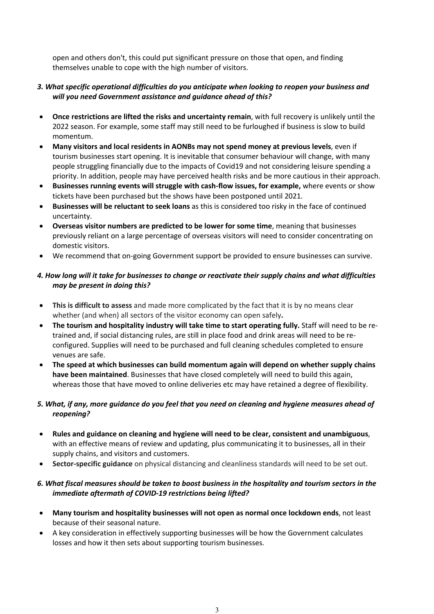open and others don't, this could put significant pressure on those that open, and finding themselves unable to cope with the high number of visitors.

### *3. What specific operational difficulties do you anticipate when looking to reopen your business and will you need Government assistance and guidance ahead of this?*

- **Once restrictions are lifted the risks and uncertainty remain**, with full recovery is unlikely until the 2022 season. For example, some staff may still need to be furloughed if business is slow to build momentum.
- **Many visitors and local residents in AONBs may not spend money at previous levels**, even if tourism businesses start opening. It is inevitable that consumer behaviour will change, with many people struggling financially due to the impacts of Covid19 and not considering leisure spending a priority. In addition, people may have perceived health risks and be more cautious in their approach.
- **Businesses running events will struggle with cash-flow issues, for example,** where events or show tickets have been purchased but the shows have been postponed until 2021.
- **Businesses will be reluctant to seek loans** as this is considered too risky in the face of continued uncertainty.
- **Overseas visitor numbers are predicted to be lower for some time**, meaning that businesses previously reliant on a large percentage of overseas visitors will need to consider concentrating on domestic visitors.
- We recommend that on-going Government support be provided to ensure businesses can survive.

### 4. How long will it take for businesses to change or reactivate their supply chains and what difficulties *may be present in doing this?*

- **This is difficult to assess** and made more complicated by the fact that it is by no means clear whether (and when) all sectors of the visitor economy can open safely**.**
- **The tourism and hospitality industry will take time to start operating fully.** Staff will need to be retrained and, if social distancing rules, are still in place food and drink areas will need to be reconfigured. Supplies will need to be purchased and full cleaning schedules completed to ensure venues are safe.
- **The speed at which businesses can build momentum again will depend on whether supply chains have been maintained**. Businesses that have closed completely will need to build this again, whereas those that have moved to online deliveries etc may have retained a degree of flexibility.

## 5. What, if any, more guidance do you feel that you need on cleaning and hygiene measures ahead of *reopening?*

- **Rules and guidance on cleaning and hygiene will need to be clear, consistent and unambiguous**, with an effective means of review and updating, plus communicating it to businesses, all in their supply chains, and visitors and customers.
- **Sector-specific guidance** on physical distancing and cleanliness standards will need to be set out.

#### 6. What fiscal measures should be taken to boost business in the hospitality and tourism sectors in the *immediate aftermath of COVID-19 restrictions being lifted?*

- **Many tourism and hospitality businesses will not open as normal once lockdown ends**, not least because of their seasonal nature.
- A key consideration in effectively supporting businesses will be how the Government calculates losses and how it then sets about supporting tourism businesses.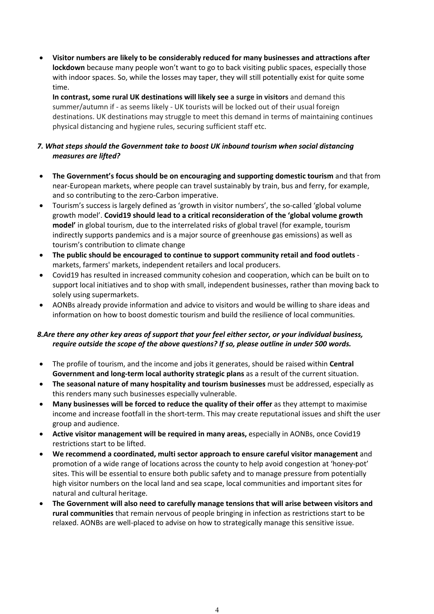• **Visitor numbers are likely to be considerably reduced for many businesses and attractions after lockdown** because many people won't want to go to back visiting public spaces, especially those with indoor spaces. So, while the losses may taper, they will still potentially exist for quite some time.

**In contrast, some rural UK destinations will likely see a surge in visitors** and demand this summer/autumn if - as seems likely - UK tourists will be locked out of their usual foreign destinations. UK destinations may struggle to meet this demand in terms of maintaining continues physical distancing and hygiene rules, securing sufficient staff etc.

## *7. What steps should the Government take to boost UK inbound tourism when social distancing measures are lifted?*

- **The Government's focus should be on encouraging and supporting domestic tourism** and that from near-European markets, where people can travel sustainably by train, bus and ferry, for example, and so contributing to the zero-Carbon imperative.
- Tourism's success is largely defined as 'growth in visitor numbers', the so-called 'global volume growth model'. **Covid19 should lead to a critical reconsideration of the 'global volume growth model'** in global tourism, due to the interrelated risks of global travel (for example, tourism indirectly supports pandemics and is a major source of greenhouse gas emissions) as well as tourism's contribution to climate change
- **The public should be encouraged to continue to support community retail and food outlets** markets, farmers' markets, independent retailers and local producers.
- Covid19 has resulted in increased community cohesion and cooperation, which can be built on to support local initiatives and to shop with small, independent businesses, rather than moving back to solely using supermarkets.
- AONBs already provide information and advice to visitors and would be willing to share ideas and information on how to boost domestic tourism and build the resilience of local communities.

# *8.Are there any other key areas of support that your feel either sector, or your individual business, require outside the scope of the above questions? If so, please outline in under 500 words.*

- The profile of tourism, and the income and jobs it generates, should be raised within **Central Government and long-term local authority strategic plans** as a result of the current situation.
- **The seasonal nature of many hospitality and tourism businesses** must be addressed, especially as this renders many such businesses especially vulnerable.
- **Many businesses will be forced to reduce the quality of their offer** as they attempt to maximise income and increase footfall in the short-term. This may create reputational issues and shift the user group and audience.
- **Active visitor management will be required in many areas,** especially in AONBs, once Covid19 restrictions start to be lifted.
- **We recommend a coordinated, multi sector approach to ensure careful visitor management** and promotion of a wide range of locations across the county to help avoid congestion at 'honey-pot' sites. This will be essential to ensure both public safety and to manage pressure from potentially high visitor numbers on the local land and sea scape, local communities and important sites for natural and cultural heritage.
- **The Government will also need to carefully manage tensions that will arise between visitors and rural communities** that remain nervous of people bringing in infection as restrictions start to be relaxed. AONBs are well-placed to advise on how to strategically manage this sensitive issue.